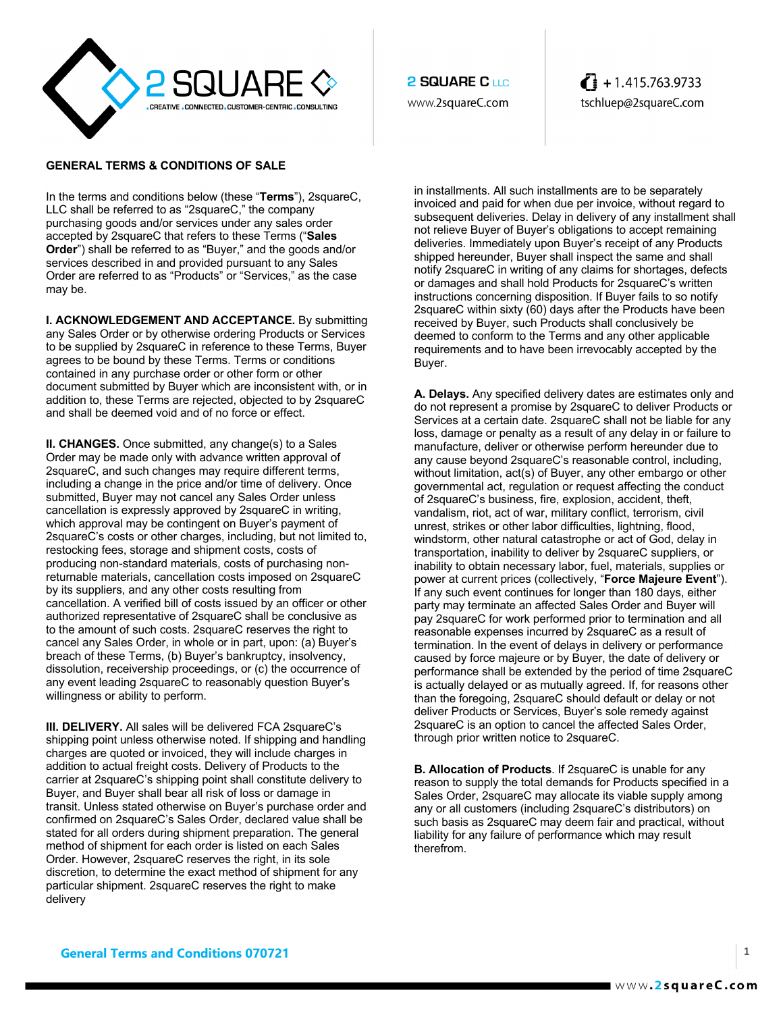

## **GENERAL TERMS & CONDITIONS OF SALE**

In the terms and conditions below (these "**Terms**"), 2squareC, LLC shall be referred to as "2squareC," the company purchasing goods and/or services under any sales order accepted by 2squareC that refers to these Terms ("**Sales Order**") shall be referred to as "Buyer," and the goods and/or services described in and provided pursuant to any Sales Order are referred to as "Products" or "Services," as the case may be.

**I. ACKNOWLEDGEMENT AND ACCEPTANCE.** By submitting any Sales Order or by otherwise ordering Products or Services to be supplied by 2squareC in reference to these Terms, Buyer agrees to be bound by these Terms. Terms or conditions contained in any purchase order or other form or other document submitted by Buyer which are inconsistent with, or in addition to, these Terms are rejected, objected to by 2squareC and shall be deemed void and of no force or effect.

**II. CHANGES.** Once submitted, any change(s) to a Sales Order may be made only with advance written approval of 2squareC, and such changes may require different terms, including a change in the price and/or time of delivery. Once submitted, Buyer may not cancel any Sales Order unless cancellation is expressly approved by 2squareC in writing, which approval may be contingent on Buyer's payment of 2squareC's costs or other charges, including, but not limited to, restocking fees, storage and shipment costs, costs of producing non-standard materials, costs of purchasing nonreturnable materials, cancellation costs imposed on 2squareC by its suppliers, and any other costs resulting from cancellation. A verified bill of costs issued by an officer or other authorized representative of 2squareC shall be conclusive as to the amount of such costs. 2squareC reserves the right to cancel any Sales Order, in whole or in part, upon: (a) Buyer's breach of these Terms, (b) Buyer's bankruptcy, insolvency, dissolution, receivership proceedings, or (c) the occurrence of any event leading 2squareC to reasonably question Buyer's willingness or ability to perform.

**III. DELIVERY.** All sales will be delivered FCA 2squareC's shipping point unless otherwise noted. If shipping and handling charges are quoted or invoiced, they will include charges in addition to actual freight costs. Delivery of Products to the carrier at 2squareC's shipping point shall constitute delivery to Buyer, and Buyer shall bear all risk of loss or damage in transit. Unless stated otherwise on Buyer's purchase order and confirmed on 2squareC's Sales Order, declared value shall be stated for all orders during shipment preparation. The general method of shipment for each order is listed on each Sales Order. However, 2squareC reserves the right, in its sole discretion, to determine the exact method of shipment for any particular shipment. 2squareC reserves the right to make delivery

**2 SQUARE C LLC** www.2squareC.com  $\left\{ \right\}$  + 1.415.763.9733 tschluep@2squareC.com

in installments. All such installments are to be separately invoiced and paid for when due per invoice, without regard to subsequent deliveries. Delay in delivery of any installment shall not relieve Buyer of Buyer's obligations to accept remaining deliveries. Immediately upon Buyer's receipt of any Products shipped hereunder, Buyer shall inspect the same and shall notify 2squareC in writing of any claims for shortages, defects or damages and shall hold Products for 2squareC's written instructions concerning disposition. If Buyer fails to so notify 2squareC within sixty (60) days after the Products have been received by Buyer, such Products shall conclusively be deemed to conform to the Terms and any other applicable requirements and to have been irrevocably accepted by the Buyer.

**A. Delays.** Any specified delivery dates are estimates only and do not represent a promise by 2squareC to deliver Products or Services at a certain date. 2squareC shall not be liable for any loss, damage or penalty as a result of any delay in or failure to manufacture, deliver or otherwise perform hereunder due to any cause beyond 2squareC's reasonable control, including, without limitation, act(s) of Buyer, any other embargo or other governmental act, regulation or request affecting the conduct of 2squareC's business, fire, explosion, accident, theft, vandalism, riot, act of war, military conflict, terrorism, civil unrest, strikes or other labor difficulties, lightning, flood, windstorm, other natural catastrophe or act of God, delay in transportation, inability to deliver by 2squareC suppliers, or inability to obtain necessary labor, fuel, materials, supplies or power at current prices (collectively, "**Force Majeure Event**"). If any such event continues for longer than 180 days, either party may terminate an affected Sales Order and Buyer will pay 2squareC for work performed prior to termination and all reasonable expenses incurred by 2squareC as a result of termination. In the event of delays in delivery or performance caused by force majeure or by Buyer, the date of delivery or performance shall be extended by the period of time 2squareC is actually delayed or as mutually agreed. If, for reasons other than the foregoing, 2squareC should default or delay or not deliver Products or Services, Buyer's sole remedy against 2squareC is an option to cancel the affected Sales Order, through prior written notice to 2squareC.

**B. Allocation of Products**. If 2squareC is unable for any reason to supply the total demands for Products specified in a Sales Order, 2squareC may allocate its viable supply among any or all customers (including 2squareC's distributors) on such basis as 2squareC may deem fair and practical, without liability for any failure of performance which may result therefrom.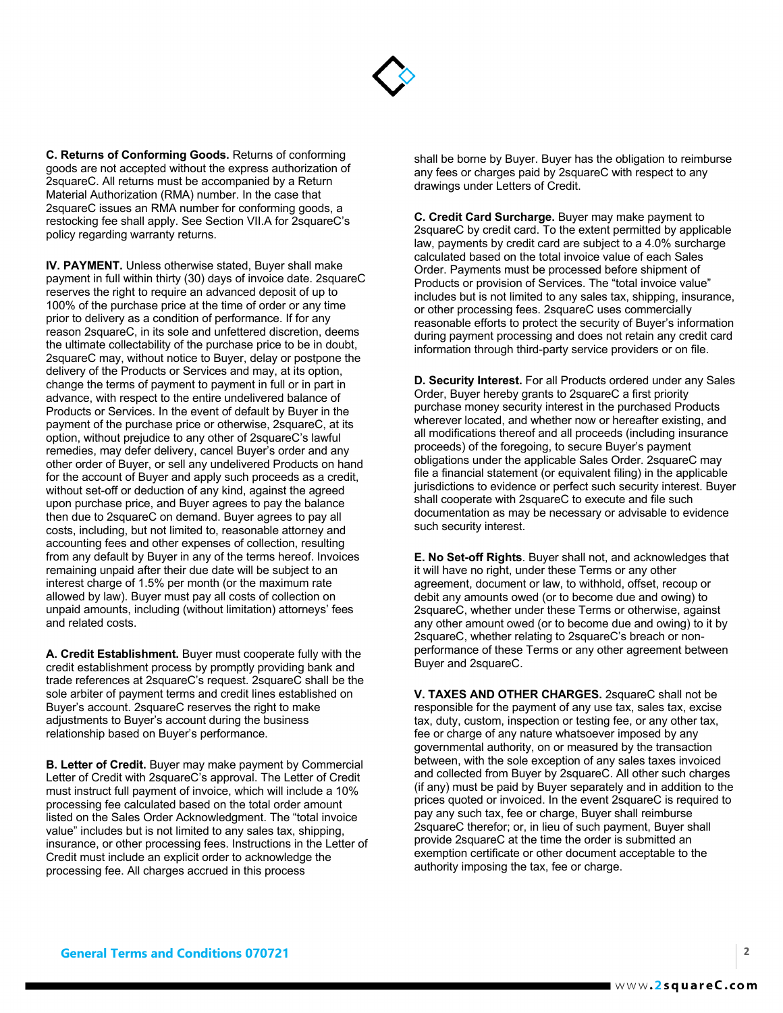

**C. Returns of Conforming Goods.** Returns of conforming goods are not accepted without the express authorization of 2squareC. All returns must be accompanied by a Return Material Authorization (RMA) number. In the case that 2squareC issues an RMA number for conforming goods, a restocking fee shall apply. See Section VII.A for 2squareC's policy regarding warranty returns.

**IV. PAYMENT.** Unless otherwise stated, Buyer shall make payment in full within thirty (30) days of invoice date. 2squareC reserves the right to require an advanced deposit of up to 100% of the purchase price at the time of order or any time prior to delivery as a condition of performance. If for any reason 2squareC, in its sole and unfettered discretion, deems the ultimate collectability of the purchase price to be in doubt, 2squareC may, without notice to Buyer, delay or postpone the delivery of the Products or Services and may, at its option, change the terms of payment to payment in full or in part in advance, with respect to the entire undelivered balance of Products or Services. In the event of default by Buyer in the payment of the purchase price or otherwise, 2squareC, at its option, without prejudice to any other of 2squareC's lawful remedies, may defer delivery, cancel Buyer's order and any other order of Buyer, or sell any undelivered Products on hand for the account of Buyer and apply such proceeds as a credit, without set-off or deduction of any kind, against the agreed upon purchase price, and Buyer agrees to pay the balance then due to 2squareC on demand. Buyer agrees to pay all costs, including, but not limited to, reasonable attorney and accounting fees and other expenses of collection, resulting from any default by Buyer in any of the terms hereof. Invoices remaining unpaid after their due date will be subject to an interest charge of 1.5% per month (or the maximum rate allowed by law). Buyer must pay all costs of collection on unpaid amounts, including (without limitation) attorneys' fees and related costs.

**A. Credit Establishment.** Buyer must cooperate fully with the credit establishment process by promptly providing bank and trade references at 2squareC's request. 2squareC shall be the sole arbiter of payment terms and credit lines established on Buyer's account. 2squareC reserves the right to make adjustments to Buyer's account during the business relationship based on Buyer's performance.

**B. Letter of Credit.** Buyer may make payment by Commercial Letter of Credit with 2squareC's approval. The Letter of Credit must instruct full payment of invoice, which will include a 10% processing fee calculated based on the total order amount listed on the Sales Order Acknowledgment. The "total invoice value" includes but is not limited to any sales tax, shipping, insurance, or other processing fees. Instructions in the Letter of Credit must include an explicit order to acknowledge the processing fee. All charges accrued in this process

shall be borne by Buyer. Buyer has the obligation to reimburse any fees or charges paid by 2squareC with respect to any drawings under Letters of Credit.

**C. Credit Card Surcharge.** Buyer may make payment to 2squareC by credit card. To the extent permitted by applicable law, payments by credit card are subject to a 4.0% surcharge calculated based on the total invoice value of each Sales Order. Payments must be processed before shipment of Products or provision of Services. The "total invoice value" includes but is not limited to any sales tax, shipping, insurance, or other processing fees. 2squareC uses commercially reasonable efforts to protect the security of Buyer's information during payment processing and does not retain any credit card information through third-party service providers or on file.

**D. Security Interest.** For all Products ordered under any Sales Order, Buyer hereby grants to 2squareC a first priority purchase money security interest in the purchased Products wherever located, and whether now or hereafter existing, and all modifications thereof and all proceeds (including insurance proceeds) of the foregoing, to secure Buyer's payment obligations under the applicable Sales Order. 2squareC may file a financial statement (or equivalent filing) in the applicable jurisdictions to evidence or perfect such security interest. Buyer shall cooperate with 2squareC to execute and file such documentation as may be necessary or advisable to evidence such security interest.

**E. No Set-off Rights**. Buyer shall not, and acknowledges that it will have no right, under these Terms or any other agreement, document or law, to withhold, offset, recoup or debit any amounts owed (or to become due and owing) to 2squareC, whether under these Terms or otherwise, against any other amount owed (or to become due and owing) to it by 2squareC, whether relating to 2squareC's breach or nonperformance of these Terms or any other agreement between Buyer and 2squareC.

**V. TAXES AND OTHER CHARGES.** 2squareC shall not be responsible for the payment of any use tax, sales tax, excise tax, duty, custom, inspection or testing fee, or any other tax, fee or charge of any nature whatsoever imposed by any governmental authority, on or measured by the transaction between, with the sole exception of any sales taxes invoiced and collected from Buyer by 2squareC. All other such charges (if any) must be paid by Buyer separately and in addition to the prices quoted or invoiced. In the event 2squareC is required to pay any such tax, fee or charge, Buyer shall reimburse 2squareC therefor; or, in lieu of such payment, Buyer shall provide 2squareC at the time the order is submitted an exemption certificate or other document acceptable to the authority imposing the tax, fee or charge.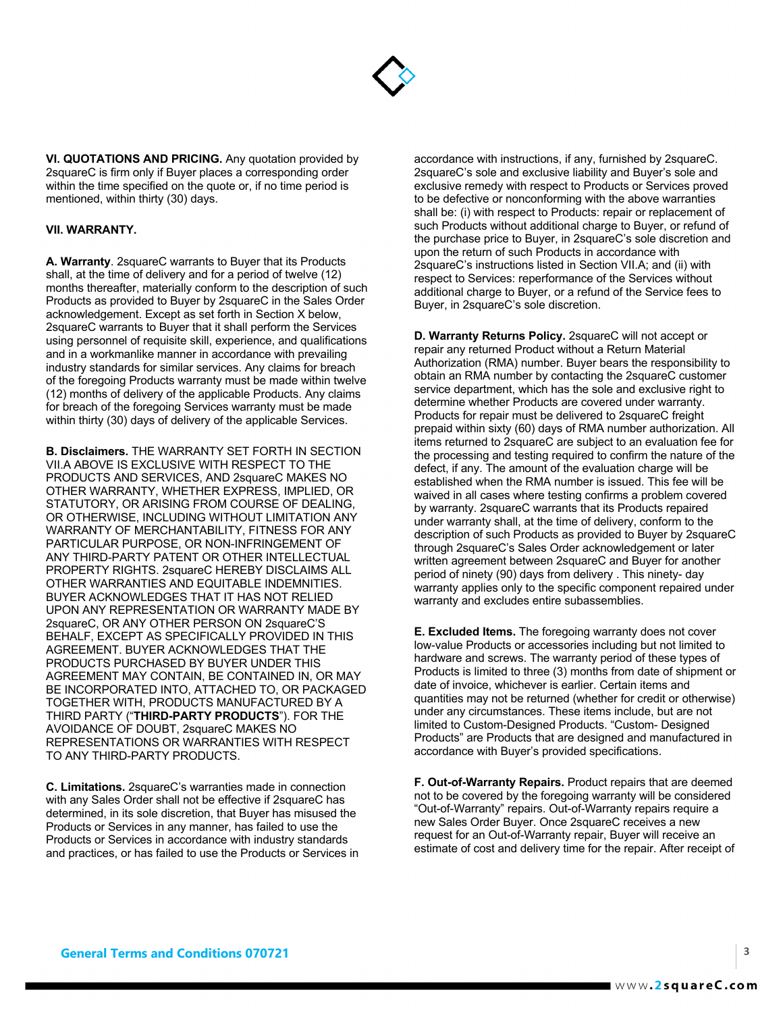

**VI. QUOTATIONS AND PRICING.** Any quotation provided by 2squareC is firm only if Buyer places a corresponding order within the time specified on the quote or, if no time period is mentioned, within thirty (30) days.

## **VII. WARRANTY.**

**A. Warranty**. 2squareC warrants to Buyer that its Products shall, at the time of delivery and for a period of twelve (12) months thereafter, materially conform to the description of such Products as provided to Buyer by 2squareC in the Sales Order acknowledgement. Except as set forth in Section X below, 2squareC warrants to Buyer that it shall perform the Services using personnel of requisite skill, experience, and qualifications and in a workmanlike manner in accordance with prevailing industry standards for similar services. Any claims for breach of the foregoing Products warranty must be made within twelve (12) months of delivery of the applicable Products. Any claims for breach of the foregoing Services warranty must be made within thirty (30) days of delivery of the applicable Services.

**B. Disclaimers.** THE WARRANTY SET FORTH IN SECTION VII.A ABOVE IS EXCLUSIVE WITH RESPECT TO THE PRODUCTS AND SERVICES, AND 2squareC MAKES NO OTHER WARRANTY, WHETHER EXPRESS, IMPLIED, OR STATUTORY, OR ARISING FROM COURSE OF DEALING, OR OTHERWISE, INCLUDING WITHOUT LIMITATION ANY WARRANTY OF MERCHANTABILITY, FITNESS FOR ANY PARTICULAR PURPOSE, OR NON-INFRINGEMENT OF ANY THIRD-PARTY PATENT OR OTHER INTELLECTUAL PROPERTY RIGHTS. 2squareC HEREBY DISCLAIMS ALL OTHER WARRANTIES AND EQUITABLE INDEMNITIES. BUYER ACKNOWLEDGES THAT IT HAS NOT RELIED UPON ANY REPRESENTATION OR WARRANTY MADE BY 2squareC, OR ANY OTHER PERSON ON 2squareC'S BEHALF, EXCEPT AS SPECIFICALLY PROVIDED IN THIS AGREEMENT. BUYER ACKNOWLEDGES THAT THE PRODUCTS PURCHASED BY BUYER UNDER THIS AGREEMENT MAY CONTAIN, BE CONTAINED IN, OR MAY BE INCORPORATED INTO, ATTACHED TO, OR PACKAGED TOGETHER WITH, PRODUCTS MANUFACTURED BY A THIRD PARTY ("**THIRD-PARTY PRODUCTS**"). FOR THE AVOIDANCE OF DOUBT, 2squareC MAKES NO REPRESENTATIONS OR WARRANTIES WITH RESPECT TO ANY THIRD-PARTY PRODUCTS.

**C. Limitations.** 2squareC's warranties made in connection with any Sales Order shall not be effective if 2squareC has determined, in its sole discretion, that Buyer has misused the Products or Services in any manner, has failed to use the Products or Services in accordance with industry standards and practices, or has failed to use the Products or Services in accordance with instructions, if any, furnished by 2squareC. 2squareC's sole and exclusive liability and Buyer's sole and exclusive remedy with respect to Products or Services proved to be defective or nonconforming with the above warranties shall be: (i) with respect to Products: repair or replacement of such Products without additional charge to Buyer, or refund of the purchase price to Buyer, in 2squareC's sole discretion and upon the return of such Products in accordance with 2squareC's instructions listed in Section VII.A; and (ii) with respect to Services: reperformance of the Services without additional charge to Buyer, or a refund of the Service fees to Buyer, in 2squareC's sole discretion.

**D. Warranty Returns Policy.** 2squareC will not accept or repair any returned Product without a Return Material Authorization (RMA) number. Buyer bears the responsibility to obtain an RMA number by contacting the 2squareC customer service department, which has the sole and exclusive right to determine whether Products are covered under warranty. Products for repair must be delivered to 2squareC freight prepaid within sixty (60) days of RMA number authorization. All items returned to 2squareC are subject to an evaluation fee for the processing and testing required to confirm the nature of the defect, if any. The amount of the evaluation charge will be established when the RMA number is issued. This fee will be waived in all cases where testing confirms a problem covered by warranty. 2squareC warrants that its Products repaired under warranty shall, at the time of delivery, conform to the description of such Products as provided to Buyer by 2squareC through 2squareC's Sales Order acknowledgement or later written agreement between 2squareC and Buyer for another period of ninety (90) days from delivery . This ninety- day warranty applies only to the specific component repaired under warranty and excludes entire subassemblies.

**E. Excluded Items.** The foregoing warranty does not cover low-value Products or accessories including but not limited to hardware and screws. The warranty period of these types of Products is limited to three (3) months from date of shipment or date of invoice, whichever is earlier. Certain items and quantities may not be returned (whether for credit or otherwise) under any circumstances. These items include, but are not limited to Custom-Designed Products. "Custom- Designed Products" are Products that are designed and manufactured in accordance with Buyer's provided specifications.

**F. Out-of-Warranty Repairs.** Product repairs that are deemed not to be covered by the foregoing warranty will be considered "Out-of-Warranty" repairs. Out-of-Warranty repairs require a new Sales Order Buyer. Once 2squareC receives a new request for an Out-of-Warranty repair, Buyer will receive an estimate of cost and delivery time for the repair. After receipt of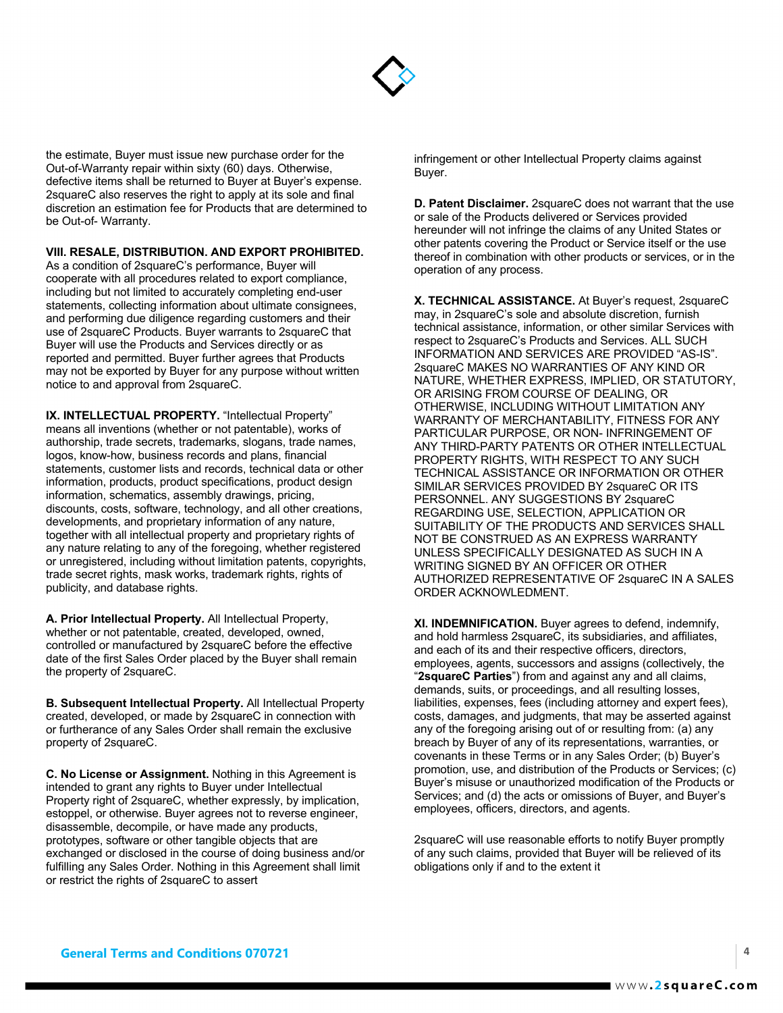

the estimate, Buyer must issue new purchase order for the Out-of-Warranty repair within sixty (60) days. Otherwise, defective items shall be returned to Buyer at Buyer's expense. 2squareC also reserves the right to apply at its sole and final discretion an estimation fee for Products that are determined to be Out-of- Warranty.

## **VIII. RESALE, DISTRIBUTION. AND EXPORT PROHIBITED.**

As a condition of 2squareC's performance, Buyer will cooperate with all procedures related to export compliance, including but not limited to accurately completing end-user statements, collecting information about ultimate consignees, and performing due diligence regarding customers and their use of 2squareC Products. Buyer warrants to 2squareC that Buyer will use the Products and Services directly or as reported and permitted. Buyer further agrees that Products may not be exported by Buyer for any purpose without written notice to and approval from 2squareC.

**IX. INTELLECTUAL PROPERTY.** "Intellectual Property" means all inventions (whether or not patentable), works of authorship, trade secrets, trademarks, slogans, trade names, logos, know-how, business records and plans, financial statements, customer lists and records, technical data or other information, products, product specifications, product design information, schematics, assembly drawings, pricing, discounts, costs, software, technology, and all other creations, developments, and proprietary information of any nature, together with all intellectual property and proprietary rights of any nature relating to any of the foregoing, whether registered or unregistered, including without limitation patents, copyrights, trade secret rights, mask works, trademark rights, rights of publicity, and database rights.

**A. Prior Intellectual Property.** All Intellectual Property, whether or not patentable, created, developed, owned, controlled or manufactured by 2squareC before the effective date of the first Sales Order placed by the Buyer shall remain the property of 2squareC.

**B. Subsequent Intellectual Property.** All Intellectual Property created, developed, or made by 2squareC in connection with or furtherance of any Sales Order shall remain the exclusive property of 2squareC.

**C. No License or Assignment.** Nothing in this Agreement is intended to grant any rights to Buyer under Intellectual Property right of 2squareC, whether expressly, by implication, estoppel, or otherwise. Buyer agrees not to reverse engineer, disassemble, decompile, or have made any products, prototypes, software or other tangible objects that are exchanged or disclosed in the course of doing business and/or fulfilling any Sales Order. Nothing in this Agreement shall limit or restrict the rights of 2squareC to assert

infringement or other Intellectual Property claims against Buyer.

**D. Patent Disclaimer.** 2squareC does not warrant that the use or sale of the Products delivered or Services provided hereunder will not infringe the claims of any United States or other patents covering the Product or Service itself or the use thereof in combination with other products or services, or in the operation of any process.

**X. TECHNICAL ASSISTANCE.** At Buyer's request, 2squareC may, in 2squareC's sole and absolute discretion, furnish technical assistance, information, or other similar Services with respect to 2squareC's Products and Services. ALL SUCH INFORMATION AND SERVICES ARE PROVIDED "AS-IS". 2squareC MAKES NO WARRANTIES OF ANY KIND OR NATURE, WHETHER EXPRESS, IMPLIED, OR STATUTORY, OR ARISING FROM COURSE OF DEALING, OR OTHERWISE, INCLUDING WITHOUT LIMITATION ANY WARRANTY OF MERCHANTABILITY, FITNESS FOR ANY PARTICULAR PURPOSE, OR NON- INFRINGEMENT OF ANY THIRD-PARTY PATENTS OR OTHER INTELLECTUAL PROPERTY RIGHTS, WITH RESPECT TO ANY SUCH TECHNICAL ASSISTANCE OR INFORMATION OR OTHER SIMILAR SERVICES PROVIDED BY 2squareC OR ITS PERSONNEL. ANY SUGGESTIONS BY 2squareC REGARDING USE, SELECTION, APPLICATION OR SUITABILITY OF THE PRODUCTS AND SERVICES SHALL NOT BE CONSTRUED AS AN EXPRESS WARRANTY UNLESS SPECIFICALLY DESIGNATED AS SUCH IN A WRITING SIGNED BY AN OFFICER OR OTHER AUTHORIZED REPRESENTATIVE OF 2squareC IN A SALES ORDER ACKNOWLEDMENT.

**XI. INDEMNIFICATION.** Buyer agrees to defend, indemnify, and hold harmless 2squareC, its subsidiaries, and affiliates, and each of its and their respective officers, directors, employees, agents, successors and assigns (collectively, the "**2squareC Parties**") from and against any and all claims, demands, suits, or proceedings, and all resulting losses, liabilities, expenses, fees (including attorney and expert fees), costs, damages, and judgments, that may be asserted against any of the foregoing arising out of or resulting from: (a) any breach by Buyer of any of its representations, warranties, or covenants in these Terms or in any Sales Order; (b) Buyer's promotion, use, and distribution of the Products or Services; (c) Buyer's misuse or unauthorized modification of the Products or Services; and (d) the acts or omissions of Buyer, and Buyer's employees, officers, directors, and agents.

2squareC will use reasonable efforts to notify Buyer promptly of any such claims, provided that Buyer will be relieved of its obligations only if and to the extent it